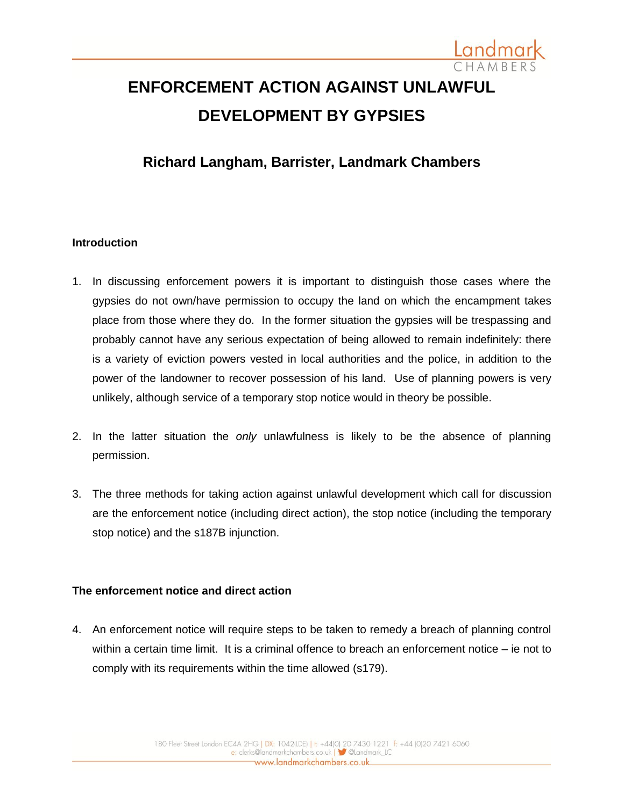

# **ENFORCEMENT ACTION AGAINST UNLAWFUL DEVELOPMENT BY GYPSIES**

# **Richard Langham, Barrister, Landmark Chambers**

### **Introduction**

- 1. In discussing enforcement powers it is important to distinguish those cases where the gypsies do not own/have permission to occupy the land on which the encampment takes place from those where they do. In the former situation the gypsies will be trespassing and probably cannot have any serious expectation of being allowed to remain indefinitely: there is a variety of eviction powers vested in local authorities and the police, in addition to the power of the landowner to recover possession of his land. Use of planning powers is very unlikely, although service of a temporary stop notice would in theory be possible.
- 2. In the latter situation the *only* unlawfulness is likely to be the absence of planning permission.
- 3. The three methods for taking action against unlawful development which call for discussion are the enforcement notice (including direct action), the stop notice (including the temporary stop notice) and the s187B injunction.

### **The enforcement notice and direct action**

4. An enforcement notice will require steps to be taken to remedy a breach of planning control within a certain time limit. It is a criminal offence to breach an enforcement notice – ie not to comply with its requirements within the time allowed (s179).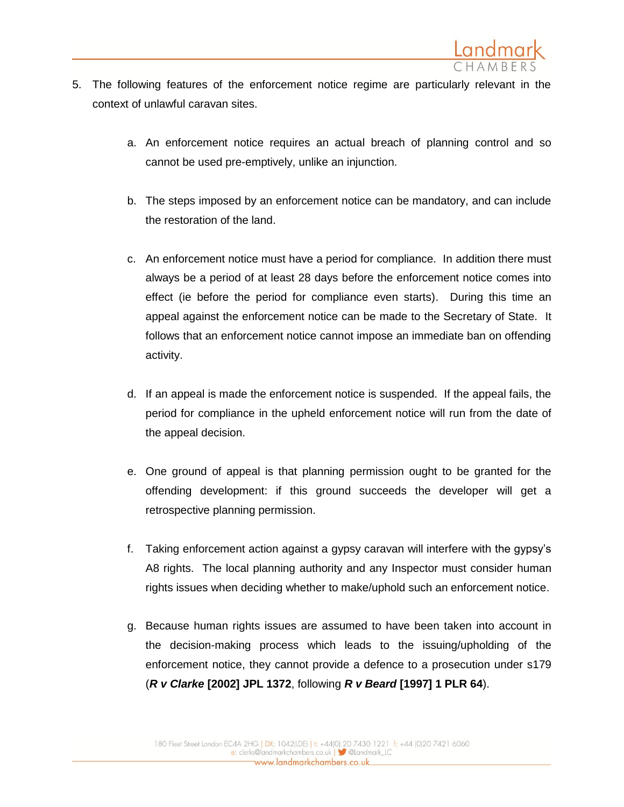

- 5. The following features of the enforcement notice regime are particularly relevant in the context of unlawful caravan sites.
	- a. An enforcement notice requires an actual breach of planning control and so cannot be used pre-emptively, unlike an injunction.
	- b. The steps imposed by an enforcement notice can be mandatory, and can include the restoration of the land.
	- c. An enforcement notice must have a period for compliance. In addition there must always be a period of at least 28 days before the enforcement notice comes into effect (ie before the period for compliance even starts). During this time an appeal against the enforcement notice can be made to the Secretary of State. It follows that an enforcement notice cannot impose an immediate ban on offending activity.
	- d. If an appeal is made the enforcement notice is suspended. If the appeal fails, the period for compliance in the upheld enforcement notice will run from the date of the appeal decision.
	- e. One ground of appeal is that planning permission ought to be granted for the offending development: if this ground succeeds the developer will get a retrospective planning permission.
	- f. Taking enforcement action against a gypsy caravan will interfere with the gypsy's A8 rights. The local planning authority and any Inspector must consider human rights issues when deciding whether to make/uphold such an enforcement notice.
	- g. Because human rights issues are assumed to have been taken into account in the decision-making process which leads to the issuing/upholding of the enforcement notice, they cannot provide a defence to a prosecution under s179 (*R v Clarke* **[2002] JPL 1372**, following *R v Beard* **[1997] 1 PLR 64**).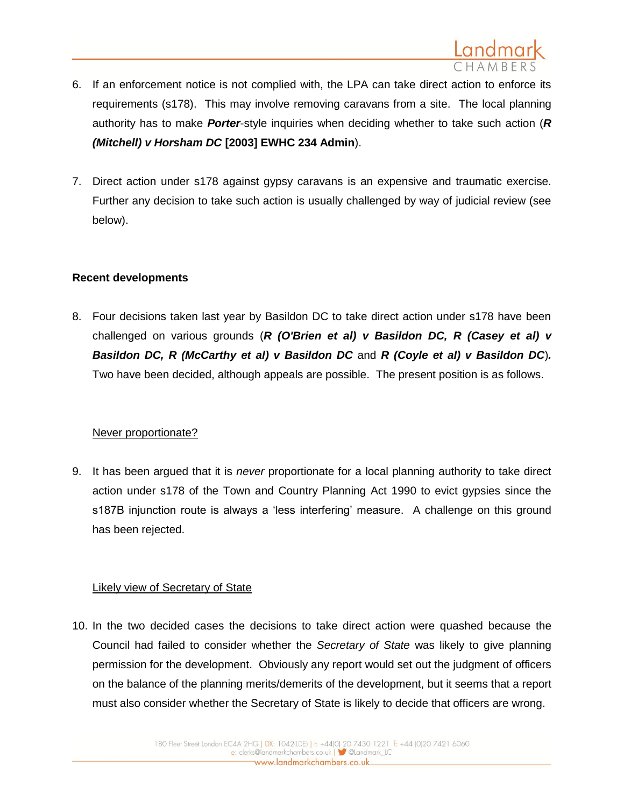

- 6. If an enforcement notice is not complied with, the LPA can take direct action to enforce its requirements (s178). This may involve removing caravans from a site. The local planning authority has to make *Porter*-style inquiries when deciding whether to take such action (*R (Mitchell) v Horsham DC* **[2003] EWHC 234 Admin**).
- 7. Direct action under s178 against gypsy caravans is an expensive and traumatic exercise. Further any decision to take such action is usually challenged by way of judicial review (see below).

### **Recent developments**

8. Four decisions taken last year by Basildon DC to take direct action under s178 have been challenged on various grounds (*R (O'Brien et al) v Basildon DC, R (Casey et al) v Basildon DC, R (McCarthy et al) v Basildon DC* and *R (Coyle et al) v Basildon DC*)*.*  Two have been decided, although appeals are possible. The present position is as follows.

## Never proportionate?

9. It has been argued that it is *never* proportionate for a local planning authority to take direct action under s178 of the Town and Country Planning Act 1990 to evict gypsies since the s187B injunction route is always a 'less interfering' measure. A challenge on this ground has been rejected.

### Likely view of Secretary of State

10. In the two decided cases the decisions to take direct action were quashed because the Council had failed to consider whether the *Secretary of State* was likely to give planning permission for the development. Obviously any report would set out the judgment of officers on the balance of the planning merits/demerits of the development, but it seems that a report must also consider whether the Secretary of State is likely to decide that officers are wrong.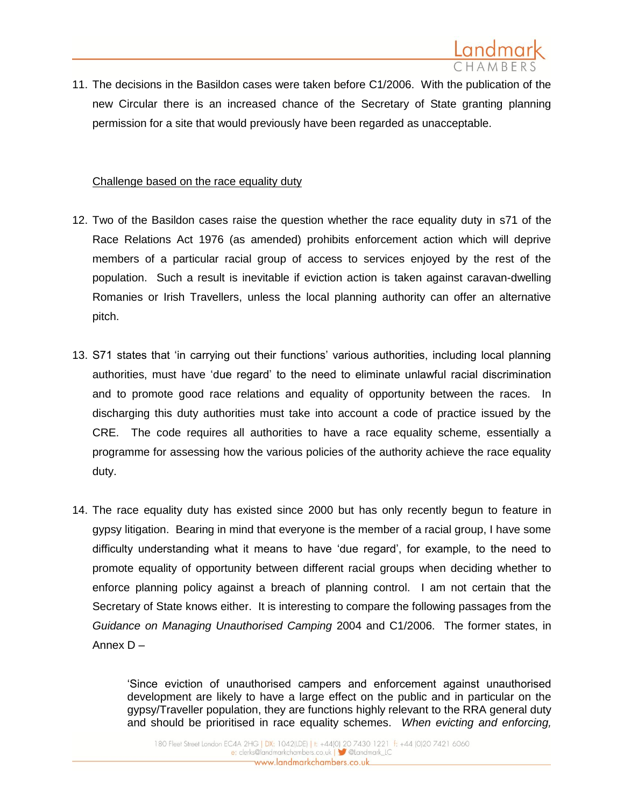

11. The decisions in the Basildon cases were taken before C1/2006. With the publication of the new Circular there is an increased chance of the Secretary of State granting planning permission for a site that would previously have been regarded as unacceptable.

#### Challenge based on the race equality duty

- 12. Two of the Basildon cases raise the question whether the race equality duty in s71 of the Race Relations Act 1976 (as amended) prohibits enforcement action which will deprive members of a particular racial group of access to services enjoyed by the rest of the population. Such a result is inevitable if eviction action is taken against caravan-dwelling Romanies or Irish Travellers, unless the local planning authority can offer an alternative pitch.
- 13. S71 states that 'in carrying out their functions' various authorities, including local planning authorities, must have 'due regard' to the need to eliminate unlawful racial discrimination and to promote good race relations and equality of opportunity between the races. In discharging this duty authorities must take into account a code of practice issued by the CRE. The code requires all authorities to have a race equality scheme, essentially a programme for assessing how the various policies of the authority achieve the race equality duty.
- 14. The race equality duty has existed since 2000 but has only recently begun to feature in gypsy litigation. Bearing in mind that everyone is the member of a racial group, I have some difficulty understanding what it means to have 'due regard', for example, to the need to promote equality of opportunity between different racial groups when deciding whether to enforce planning policy against a breach of planning control. I am not certain that the Secretary of State knows either. It is interesting to compare the following passages from the *Guidance on Managing Unauthorised Camping* 2004 and C1/2006. The former states, in Annex D –

'Since eviction of unauthorised campers and enforcement against unauthorised development are likely to have a large effect on the public and in particular on the gypsy/Traveller population, they are functions highly relevant to the RRA general duty and should be prioritised in race equality schemes. *When evicting and enforcing,*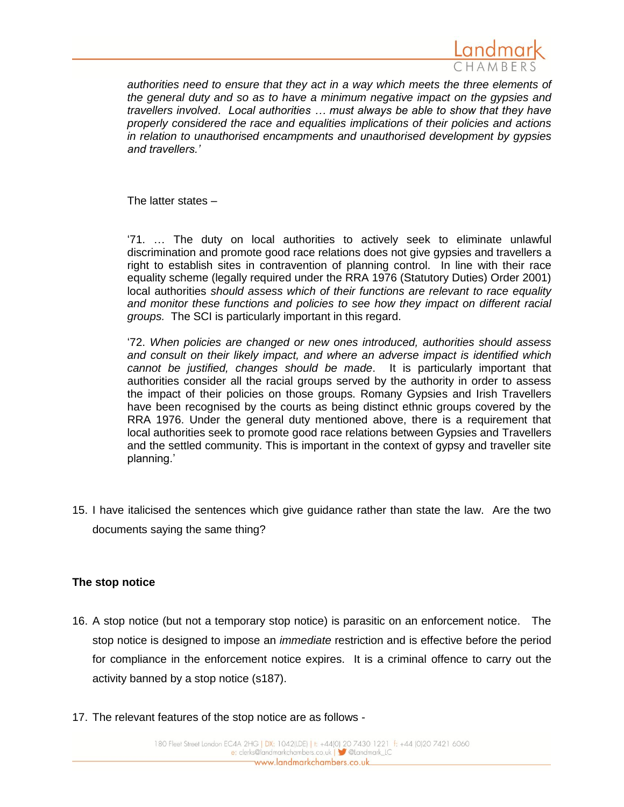

*authorities need to ensure that they act in a way which meets the three elements of the general duty and so as to have a minimum negative impact on the gypsies and travellers involved*. *Local authorities … must always be able to show that they have properly considered the race and equalities implications of their policies and actions in relation to unauthorised encampments and unauthorised development by gypsies and travellers.'*

The latter states –

'71. … The duty on local authorities to actively seek to eliminate unlawful discrimination and promote good race relations does not give gypsies and travellers a right to establish sites in contravention of planning control. In line with their race equality scheme (legally required under the RRA 1976 (Statutory Duties) Order 2001) local authorities *should assess which of their functions are relevant to race equality and monitor these functions and policies to see how they impact on different racial groups.* The SCI is particularly important in this regard.

'72. *When policies are changed or new ones introduced, authorities should assess and consult on their likely impact, and where an adverse impact is identified which cannot be justified, changes should be made*. It is particularly important that authorities consider all the racial groups served by the authority in order to assess the impact of their policies on those groups. Romany Gypsies and Irish Travellers have been recognised by the courts as being distinct ethnic groups covered by the RRA 1976. Under the general duty mentioned above, there is a requirement that local authorities seek to promote good race relations between Gypsies and Travellers and the settled community. This is important in the context of gypsy and traveller site planning.'

15. I have italicised the sentences which give guidance rather than state the law. Are the two documents saying the same thing?

### **The stop notice**

- 16. A stop notice (but not a temporary stop notice) is parasitic on an enforcement notice. The stop notice is designed to impose an *immediate* restriction and is effective before the period for compliance in the enforcement notice expires. It is a criminal offence to carry out the activity banned by a stop notice (s187).
- 17. The relevant features of the stop notice are as follows -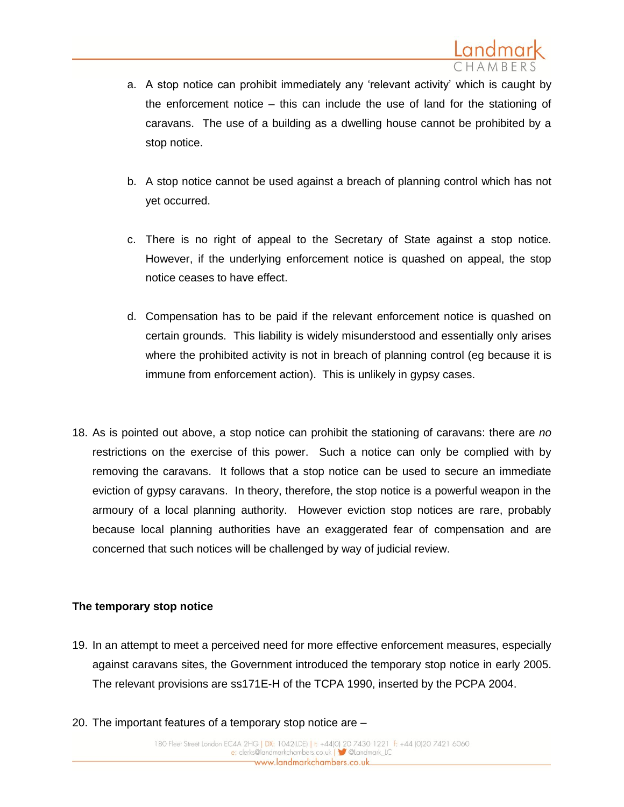- a. A stop notice can prohibit immediately any 'relevant activity' which is caught by the enforcement notice – this can include the use of land for the stationing of caravans. The use of a building as a dwelling house cannot be prohibited by a stop notice.
- b. A stop notice cannot be used against a breach of planning control which has not yet occurred.
- c. There is no right of appeal to the Secretary of State against a stop notice. However, if the underlying enforcement notice is quashed on appeal, the stop notice ceases to have effect.
- d. Compensation has to be paid if the relevant enforcement notice is quashed on certain grounds. This liability is widely misunderstood and essentially only arises where the prohibited activity is not in breach of planning control (eg because it is immune from enforcement action). This is unlikely in gypsy cases.
- 18. As is pointed out above, a stop notice can prohibit the stationing of caravans: there are *no* restrictions on the exercise of this power. Such a notice can only be complied with by removing the caravans. It follows that a stop notice can be used to secure an immediate eviction of gypsy caravans. In theory, therefore, the stop notice is a powerful weapon in the armoury of a local planning authority. However eviction stop notices are rare, probably because local planning authorities have an exaggerated fear of compensation and are concerned that such notices will be challenged by way of judicial review.

### **The temporary stop notice**

- 19. In an attempt to meet a perceived need for more effective enforcement measures, especially against caravans sites, the Government introduced the temporary stop notice in early 2005. The relevant provisions are ss171E-H of the TCPA 1990, inserted by the PCPA 2004.
- 20. The important features of a temporary stop notice are –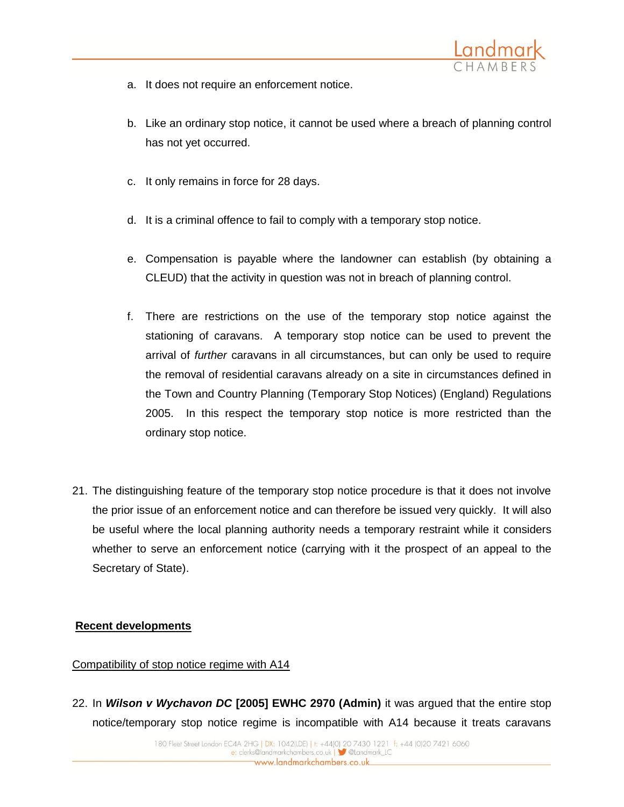

- a. It does not require an enforcement notice.
- b. Like an ordinary stop notice, it cannot be used where a breach of planning control has not yet occurred.
- c. It only remains in force for 28 days.
- d. It is a criminal offence to fail to comply with a temporary stop notice.
- e. Compensation is payable where the landowner can establish (by obtaining a CLEUD) that the activity in question was not in breach of planning control.
- f. There are restrictions on the use of the temporary stop notice against the stationing of caravans. A temporary stop notice can be used to prevent the arrival of *further* caravans in all circumstances, but can only be used to require the removal of residential caravans already on a site in circumstances defined in the Town and Country Planning (Temporary Stop Notices) (England) Regulations 2005. In this respect the temporary stop notice is more restricted than the ordinary stop notice.
- 21. The distinguishing feature of the temporary stop notice procedure is that it does not involve the prior issue of an enforcement notice and can therefore be issued very quickly. It will also be useful where the local planning authority needs a temporary restraint while it considers whether to serve an enforcement notice (carrying with it the prospect of an appeal to the Secretary of State).

### **Recent developments**

### Compatibility of stop notice regime with A14

22. In *Wilson v Wychavon DC* **[2005] EWHC 2970 (Admin)** it was argued that the entire stop notice/temporary stop notice regime is incompatible with A14 because it treats caravans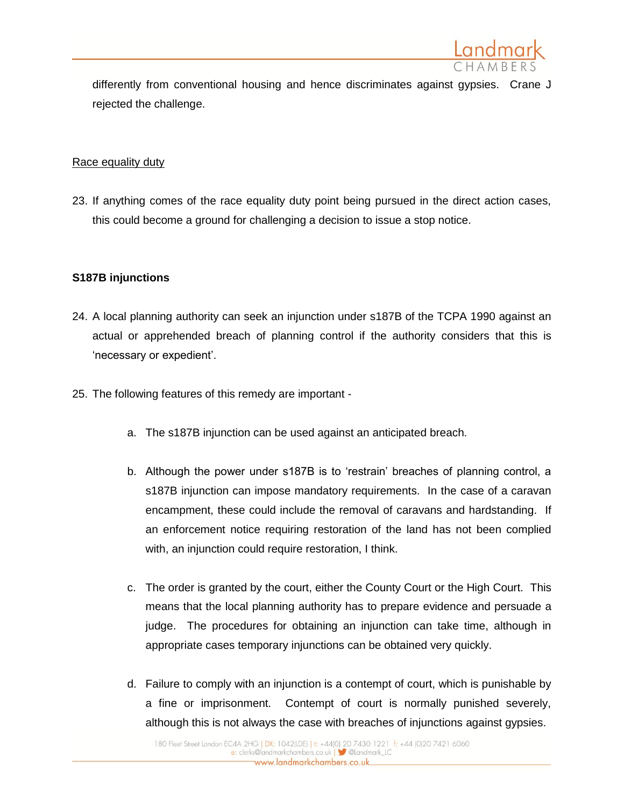

differently from conventional housing and hence discriminates against gypsies. Crane J rejected the challenge.

#### Race equality duty

23. If anything comes of the race equality duty point being pursued in the direct action cases, this could become a ground for challenging a decision to issue a stop notice.

### **S187B injunctions**

- 24. A local planning authority can seek an injunction under s187B of the TCPA 1990 against an actual or apprehended breach of planning control if the authority considers that this is 'necessary or expedient'.
- 25. The following features of this remedy are important
	- a. The s187B injunction can be used against an anticipated breach.
	- b. Although the power under s187B is to 'restrain' breaches of planning control, a s187B injunction can impose mandatory requirements. In the case of a caravan encampment, these could include the removal of caravans and hardstanding. If an enforcement notice requiring restoration of the land has not been complied with, an injunction could require restoration, I think.
	- c. The order is granted by the court, either the County Court or the High Court. This means that the local planning authority has to prepare evidence and persuade a judge. The procedures for obtaining an injunction can take time, although in appropriate cases temporary injunctions can be obtained very quickly.
	- d. Failure to comply with an injunction is a contempt of court, which is punishable by a fine or imprisonment. Contempt of court is normally punished severely, although this is not always the case with breaches of injunctions against gypsies.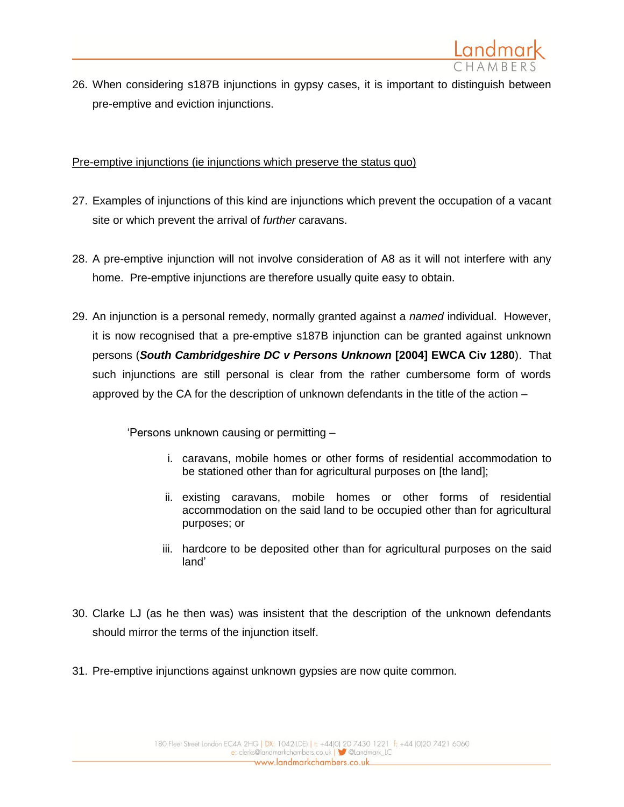

26. When considering s187B injunctions in gypsy cases, it is important to distinguish between pre-emptive and eviction injunctions.

Pre-emptive injunctions (ie injunctions which preserve the status quo)

- 27. Examples of injunctions of this kind are injunctions which prevent the occupation of a vacant site or which prevent the arrival of *further* caravans.
- 28. A pre-emptive injunction will not involve consideration of A8 as it will not interfere with any home. Pre-emptive injunctions are therefore usually quite easy to obtain.
- 29. An injunction is a personal remedy, normally granted against a *named* individual. However, it is now recognised that a pre-emptive s187B injunction can be granted against unknown persons (*South Cambridgeshire DC v Persons Unknown* **[2004] EWCA Civ 1280**). That such injunctions are still personal is clear from the rather cumbersome form of words approved by the CA for the description of unknown defendants in the title of the action –

'Persons unknown causing or permitting –

- i. caravans, mobile homes or other forms of residential accommodation to be stationed other than for agricultural purposes on [the land];
- ii. existing caravans, mobile homes or other forms of residential accommodation on the said land to be occupied other than for agricultural purposes; or
- iii. hardcore to be deposited other than for agricultural purposes on the said land'
- 30. Clarke LJ (as he then was) was insistent that the description of the unknown defendants should mirror the terms of the injunction itself.
- 31. Pre-emptive injunctions against unknown gypsies are now quite common.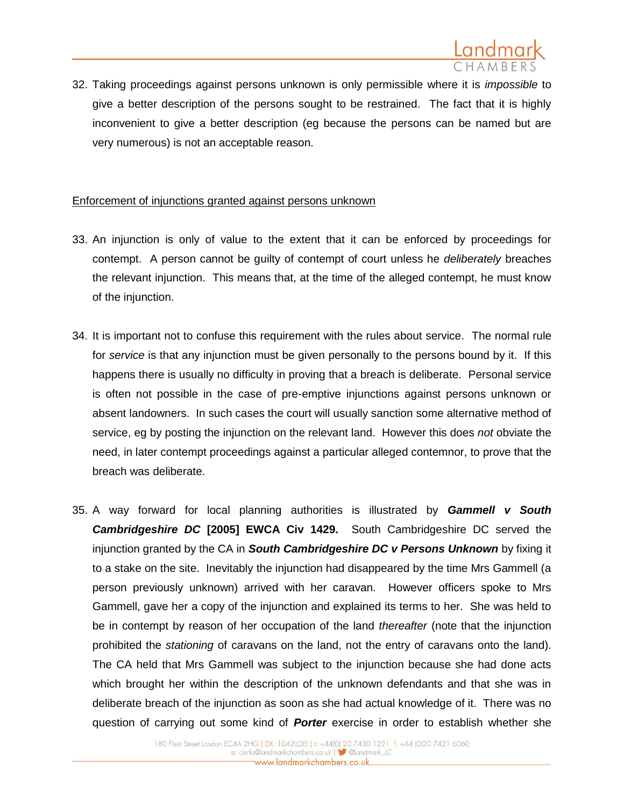

32. Taking proceedings against persons unknown is only permissible where it is *impossible* to give a better description of the persons sought to be restrained. The fact that it is highly inconvenient to give a better description (eg because the persons can be named but are very numerous) is not an acceptable reason.

### Enforcement of injunctions granted against persons unknown

- 33. An injunction is only of value to the extent that it can be enforced by proceedings for contempt. A person cannot be guilty of contempt of court unless he *deliberately* breaches the relevant injunction. This means that, at the time of the alleged contempt, he must know of the injunction.
- 34. It is important not to confuse this requirement with the rules about service. The normal rule for *service* is that any injunction must be given personally to the persons bound by it. If this happens there is usually no difficulty in proving that a breach is deliberate. Personal service is often not possible in the case of pre-emptive injunctions against persons unknown or absent landowners. In such cases the court will usually sanction some alternative method of service, eg by posting the injunction on the relevant land. However this does *not* obviate the need, in later contempt proceedings against a particular alleged contemnor, to prove that the breach was deliberate.
- 35. A way forward for local planning authorities is illustrated by *Gammell v South Cambridgeshire DC* **[2005] EWCA Civ 1429.** South Cambridgeshire DC served the injunction granted by the CA in *South Cambridgeshire DC v Persons Unknown* by fixing it to a stake on the site. Inevitably the injunction had disappeared by the time Mrs Gammell (a person previously unknown) arrived with her caravan. However officers spoke to Mrs Gammell, gave her a copy of the injunction and explained its terms to her. She was held to be in contempt by reason of her occupation of the land *thereafter* (note that the injunction prohibited the *stationing* of caravans on the land, not the entry of caravans onto the land). The CA held that Mrs Gammell was subject to the injunction because she had done acts which brought her within the description of the unknown defendants and that she was in deliberate breach of the injunction as soon as she had actual knowledge of it. There was no question of carrying out some kind of *Porter* exercise in order to establish whether she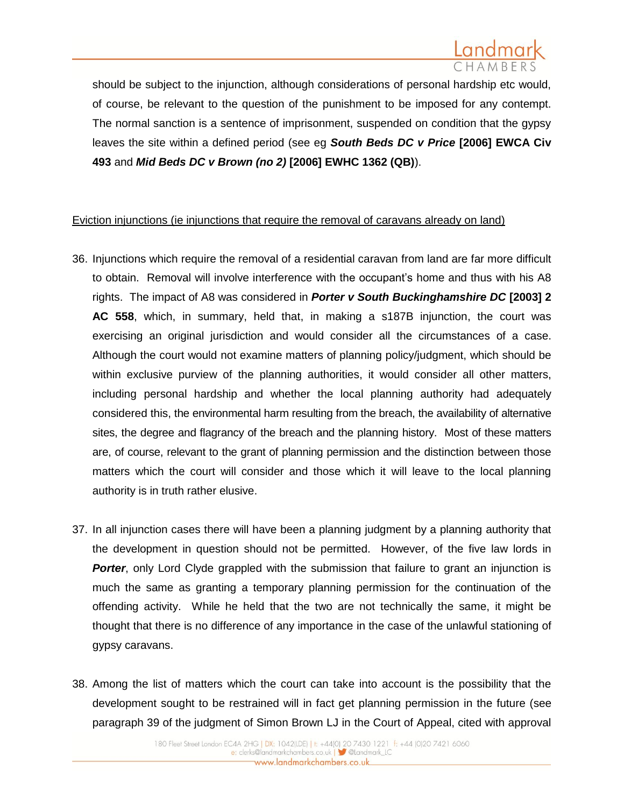

should be subject to the injunction, although considerations of personal hardship etc would, of course, be relevant to the question of the punishment to be imposed for any contempt. The normal sanction is a sentence of imprisonment, suspended on condition that the gypsy leaves the site within a defined period (see eg *South Beds DC v Price* **[2006] EWCA Civ 493** and *Mid Beds DC v Brown (no 2)* **[2006] EWHC 1362 (QB)**).

### Eviction injunctions (ie injunctions that require the removal of caravans already on land)

- 36. Injunctions which require the removal of a residential caravan from land are far more difficult to obtain. Removal will involve interference with the occupant's home and thus with his A8 rights. The impact of A8 was considered in *Porter v South Buckinghamshire DC* **[2003] 2 AC 558**, which, in summary, held that, in making a s187B injunction, the court was exercising an original jurisdiction and would consider all the circumstances of a case. Although the court would not examine matters of planning policy/judgment, which should be within exclusive purview of the planning authorities, it would consider all other matters, including personal hardship and whether the local planning authority had adequately considered this, the environmental harm resulting from the breach, the availability of alternative sites, the degree and flagrancy of the breach and the planning history. Most of these matters are, of course, relevant to the grant of planning permission and the distinction between those matters which the court will consider and those which it will leave to the local planning authority is in truth rather elusive.
- 37. In all injunction cases there will have been a planning judgment by a planning authority that the development in question should not be permitted. However, of the five law lords in **Porter**, only Lord Clyde grappled with the submission that failure to grant an injunction is much the same as granting a temporary planning permission for the continuation of the offending activity. While he held that the two are not technically the same, it might be thought that there is no difference of any importance in the case of the unlawful stationing of gypsy caravans.
- 38. Among the list of matters which the court can take into account is the possibility that the development sought to be restrained will in fact get planning permission in the future (see paragraph 39 of the judgment of Simon Brown LJ in the Court of Appeal, cited with approval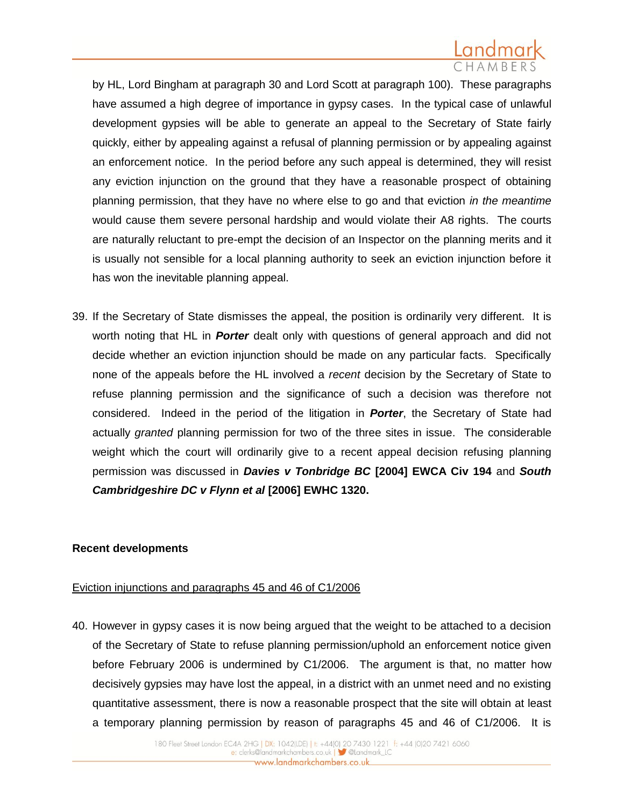

by HL, Lord Bingham at paragraph 30 and Lord Scott at paragraph 100). These paragraphs have assumed a high degree of importance in gypsy cases. In the typical case of unlawful development gypsies will be able to generate an appeal to the Secretary of State fairly quickly, either by appealing against a refusal of planning permission or by appealing against an enforcement notice. In the period before any such appeal is determined, they will resist any eviction injunction on the ground that they have a reasonable prospect of obtaining planning permission, that they have no where else to go and that eviction *in the meantime* would cause them severe personal hardship and would violate their A8 rights. The courts are naturally reluctant to pre-empt the decision of an Inspector on the planning merits and it is usually not sensible for a local planning authority to seek an eviction injunction before it has won the inevitable planning appeal.

39. If the Secretary of State dismisses the appeal, the position is ordinarily very different. It is worth noting that HL in *Porter* dealt only with questions of general approach and did not decide whether an eviction injunction should be made on any particular facts. Specifically none of the appeals before the HL involved a *recent* decision by the Secretary of State to refuse planning permission and the significance of such a decision was therefore not considered. Indeed in the period of the litigation in *Porter*, the Secretary of State had actually *granted* planning permission for two of the three sites in issue. The considerable weight which the court will ordinarily give to a recent appeal decision refusing planning permission was discussed in *Davies v Tonbridge BC* **[2004] EWCA Civ 194** and *South Cambridgeshire DC v Flynn et al* **[2006] EWHC 1320.**

#### **Recent developments**

### Eviction injunctions and paragraphs 45 and 46 of C1/2006

40. However in gypsy cases it is now being argued that the weight to be attached to a decision of the Secretary of State to refuse planning permission/uphold an enforcement notice given before February 2006 is undermined by C1/2006. The argument is that, no matter how decisively gypsies may have lost the appeal, in a district with an unmet need and no existing quantitative assessment, there is now a reasonable prospect that the site will obtain at least a temporary planning permission by reason of paragraphs 45 and 46 of C1/2006. It is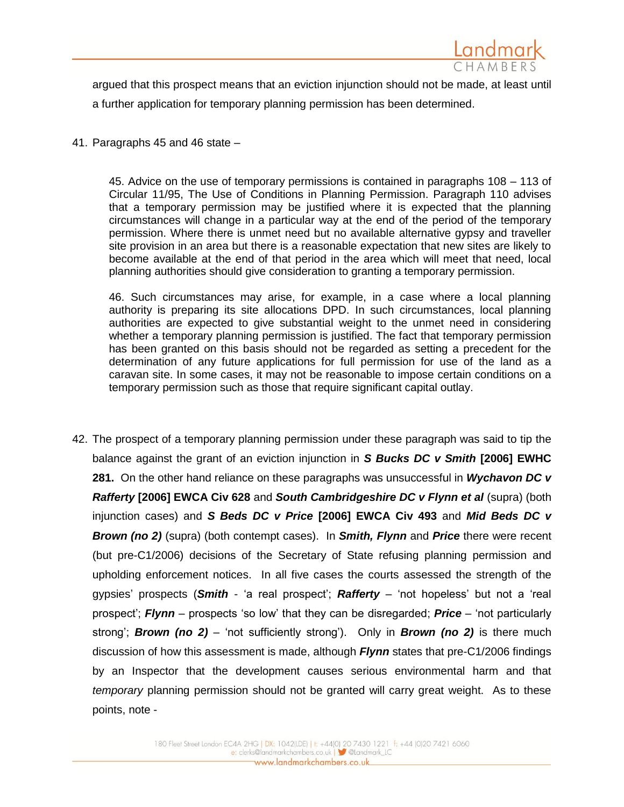

argued that this prospect means that an eviction injunction should not be made, at least until a further application for temporary planning permission has been determined.

41. Paragraphs 45 and 46 state –

45. Advice on the use of temporary permissions is contained in paragraphs 108 – 113 of Circular 11/95, The Use of Conditions in Planning Permission. Paragraph 110 advises that a temporary permission may be justified where it is expected that the planning circumstances will change in a particular way at the end of the period of the temporary permission. Where there is unmet need but no available alternative gypsy and traveller site provision in an area but there is a reasonable expectation that new sites are likely to become available at the end of that period in the area which will meet that need, local planning authorities should give consideration to granting a temporary permission.

46. Such circumstances may arise, for example, in a case where a local planning authority is preparing its site allocations DPD. In such circumstances, local planning authorities are expected to give substantial weight to the unmet need in considering whether a temporary planning permission is justified. The fact that temporary permission has been granted on this basis should not be regarded as setting a precedent for the determination of any future applications for full permission for use of the land as a caravan site. In some cases, it may not be reasonable to impose certain conditions on a temporary permission such as those that require significant capital outlay.

42. The prospect of a temporary planning permission under these paragraph was said to tip the balance against the grant of an eviction injunction in *S Bucks DC v Smith* **[2006] EWHC 281.** On the other hand reliance on these paragraphs was unsuccessful in *Wychavon DC v Rafferty* **[2006] EWCA Civ 628** and *South Cambridgeshire DC v Flynn et al* (supra) (both injunction cases) and *S Beds DC v Price* **[2006] EWCA Civ 493** and *Mid Beds DC v Brown (no 2)* (supra) (both contempt cases). In *Smith, Flynn* and *Price* there were recent (but pre-C1/2006) decisions of the Secretary of State refusing planning permission and upholding enforcement notices. In all five cases the courts assessed the strength of the gypsies' prospects (*Smith* - 'a real prospect'; *Rafferty* – 'not hopeless' but not a 'real prospect'; *Flynn* – prospects 'so low' that they can be disregarded; *Price* – 'not particularly strong'; *Brown (no 2)* – 'not sufficiently strong'). Only in *Brown (no 2)* is there much discussion of how this assessment is made, although *Flynn* states that pre-C1/2006 findings by an Inspector that the development causes serious environmental harm and that *temporary* planning permission should not be granted will carry great weight. As to these points, note -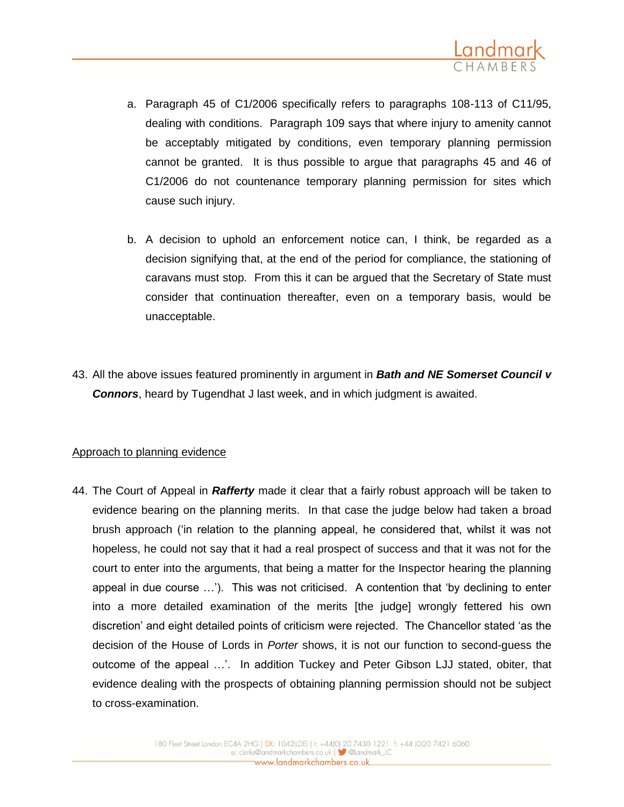

- a. Paragraph 45 of C1/2006 specifically refers to paragraphs 108-113 of C11/95, dealing with conditions. Paragraph 109 says that where injury to amenity cannot be acceptably mitigated by conditions, even temporary planning permission cannot be granted. It is thus possible to argue that paragraphs 45 and 46 of C1/2006 do not countenance temporary planning permission for sites which cause such injury.
- b. A decision to uphold an enforcement notice can, I think, be regarded as a decision signifying that, at the end of the period for compliance, the stationing of caravans must stop. From this it can be argued that the Secretary of State must consider that continuation thereafter, even on a temporary basis, would be unacceptable.
- 43. All the above issues featured prominently in argument in *Bath and NE Somerset Council v Connors*, heard by Tugendhat J last week, and in which judgment is awaited.

#### Approach to planning evidence

44. The Court of Appeal in *Rafferty* made it clear that a fairly robust approach will be taken to evidence bearing on the planning merits. In that case the judge below had taken a broad brush approach ('in relation to the planning appeal, he considered that, whilst it was not hopeless, he could not say that it had a real prospect of success and that it was not for the court to enter into the arguments, that being a matter for the Inspector hearing the planning appeal in due course …'). This was not criticised. A contention that 'by declining to enter into a more detailed examination of the merits [the judge] wrongly fettered his own discretion' and eight detailed points of criticism were rejected. The Chancellor stated 'as the decision of the House of Lords in *Porter* shows, it is not our function to second-guess the outcome of the appeal …'. In addition Tuckey and Peter Gibson LJJ stated, obiter, that evidence dealing with the prospects of obtaining planning permission should not be subject to cross-examination.